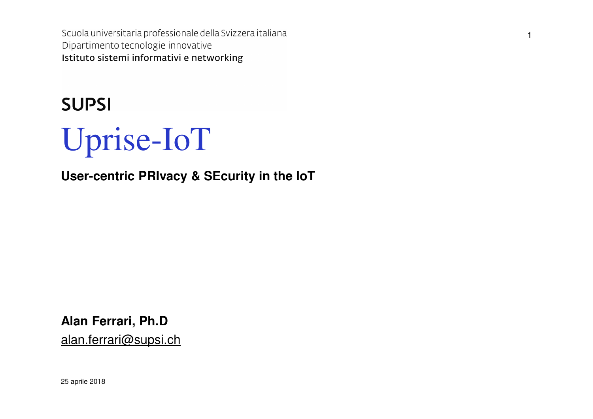Scuola universitaria professionale della Svizzera italiana Dipartimento tecnologie innovative Istituto sistemi informativi e networking

1

## **SUPSI**



**User-centric PRIvacy & SEcurity in the IoT**

**Alan Ferrari, Ph.D**alan.ferrari@supsi.ch

25 aprile 2018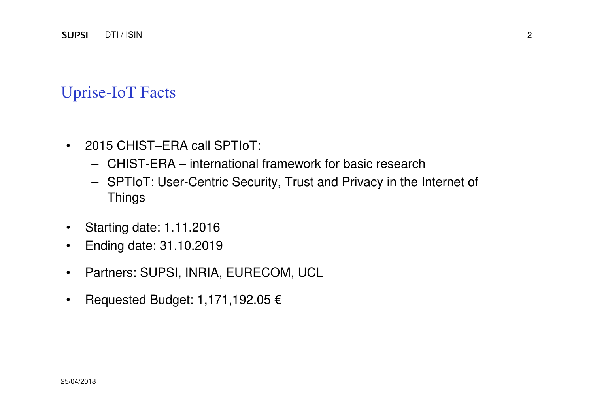#### Uprise-IoT Facts

- $\bullet$  2015 CHIST–ERA call SPTIoT:
	- CHIST-ERA international framework for basic research
	- SPTIoT: User-Centric Security, Trust and Privacy in the Internet of **Things**
- $\bullet$ Starting date: 1.11.2016
- Ending date: 31.10.2019 $\bullet$
- $\bullet$ Partners: SUPSI, INRIA, EURECOM, UCL
- •Requested Budget: 1,171,192.05 €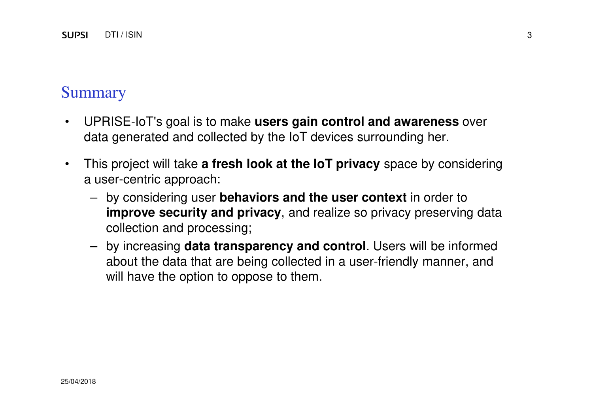#### Summary

- • UPRISE-IoT's goal is to make **users gain control and awareness** over data generated and collected by the IoT devices surrounding her.
- • This project will take **a fresh look at the IoT privacy** space by considering a user-centric approach:
	- by considering user **behaviors and the user context** in order to **improve security and privacy**, and realize so privacy preserving data collection and processing;
	- by increasing **data transparency and control**. Users will be informed about the data that are being collected in a user-friendly manner, and will have the option to oppose to them.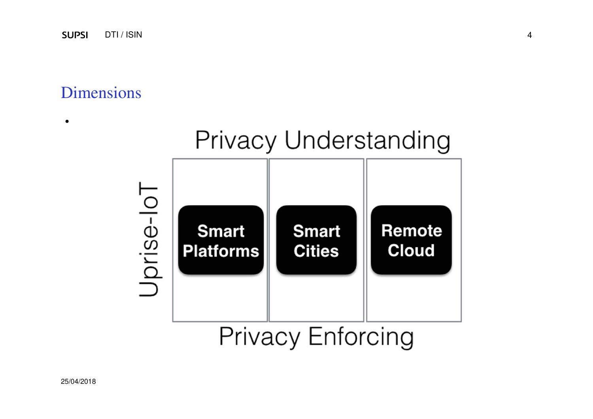#### Dimensions

•



# **Privacy Enforcing**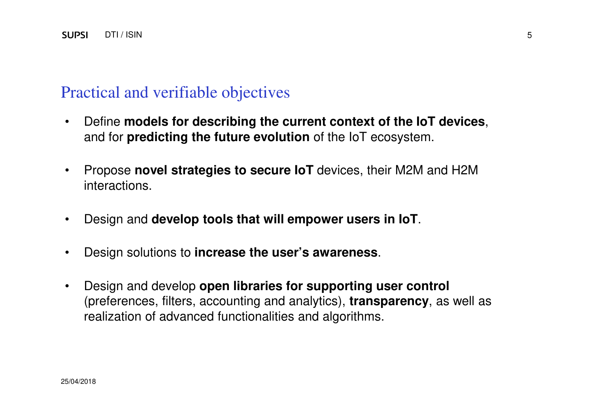#### Practical and verifiable objectives

- • Define **models for describing the current context of the IoT devices**, and for **predicting the future evolution** of the IoT ecosystem.
- • Propose **novel strategies to secure IoT** devices, their M2M and H2M interactions.
- •Design and **develop tools that will empower users in IoT**.
- •Design solutions to **increase the user's awareness**.
- $\bullet$  Design and develop **open libraries for supporting user control**  (preferences, filters, accounting and analytics), **transparency**, as well as realization of advanced functionalities and algorithms.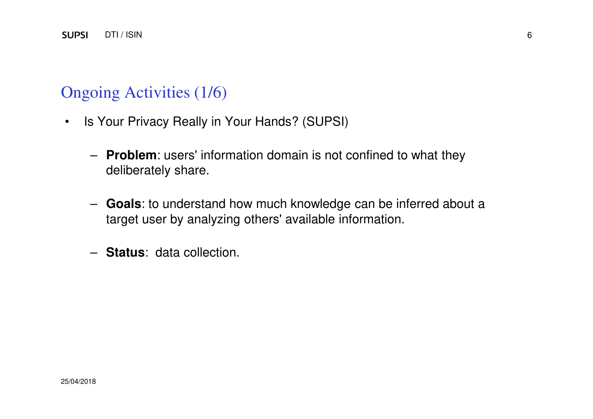## Ongoing Activities (1/6)

- $\bullet$  Is Your Privacy Really in Your Hands? (SUPSI)
	- **Problem**: users' information domain is not confined to what they deliberately share.
	- **Goals**: to understand how much knowledge can be inferred about a target user by analyzing others' available information.
	- **Status**: data collection.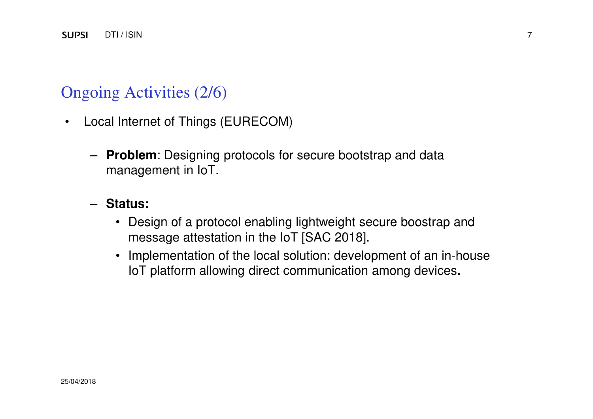## Ongoing Activities (2/6)

- $\bullet$  Local Internet of Things (EURECOM)
	- **Problem**: Designing protocols for secure bootstrap and data management in IoT.

#### – **Status:**

- Design of a protocol enabling lightweight secure boostrap and message attestation in the IoT [SAC 2018].
- Implementation of the local solution: development of an in-house IoT platform allowing direct communication among devices**.**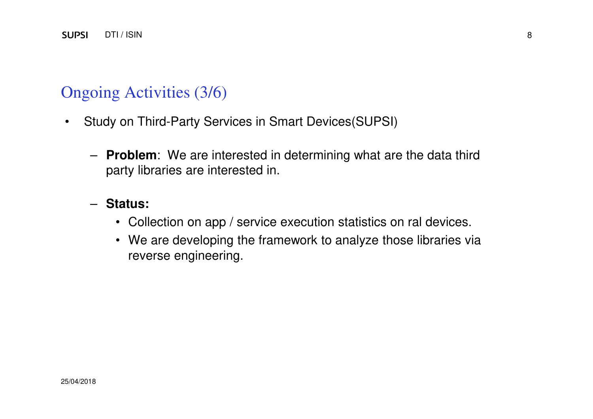#### Ongoing Activities (3/6)

- • Study on Third-Party Services in Smart Devices(SUPSI)
	- **Problem**: We are interested in determining what are the data third party libraries are interested in.
	- **Status:** 
		- Collection on app / service execution statistics on ral devices.
		- We are developing the framework to analyze those libraries via reverse engineering.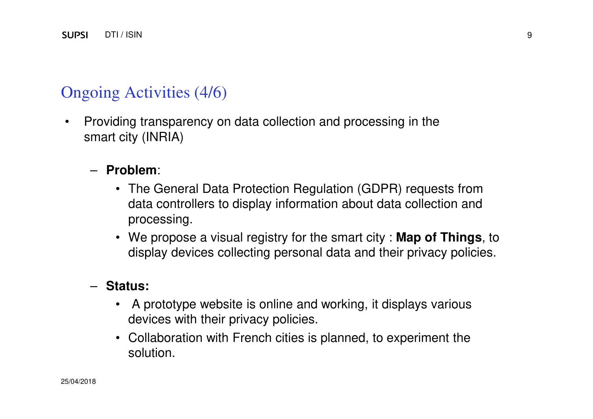## Ongoing Activities (4/6)

• Providing transparency on data collection and processing in the smart city (INRIA)

#### – **Problem**:

- The General Data Protection Regulation (GDPR) requests from data controllers to display information about data collection and processing.
- We propose a visual registry for the smart city : **Map of Things**, to display devices collecting personal data and their privacy policies.

## – **Status:**

- A prototype website is online and working, it displays various devices with their privacy policies.
- Collaboration with French cities is planned, to experiment the solution.

9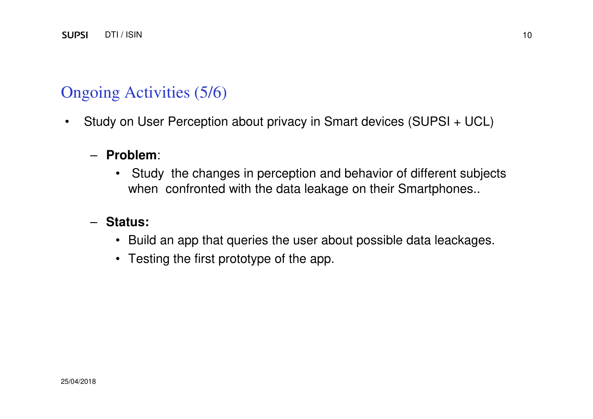## Ongoing Activities (5/6)

•Study on User Perception about privacy in Smart devices (SUPSI + UCL)

## – **Problem**:

• Study the changes in perception and behavior of different subjects when confronted with the data leakage on their Smartphones..

## – **Status:**

- Build an app that queries the user about possible data leackages.
- Testing the first prototype of the app.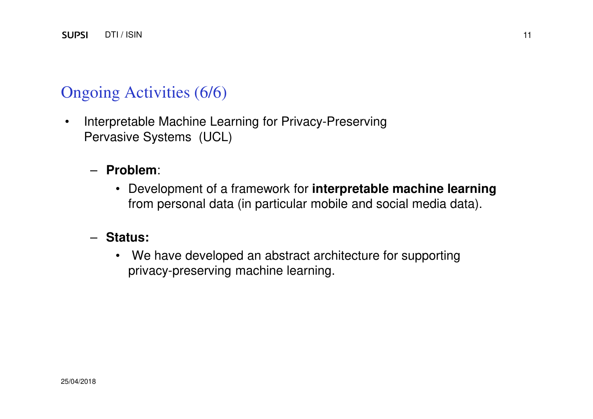## Ongoing Activities (6/6)

• Interpretable Machine Learning for Privacy-Preserving Pervasive Systems (UCL)

#### – **Problem**:

• Development of a framework for **interpretable machine learning**  from personal data (in particular mobile and social media data).

#### – **Status:**

• We have developed an abstract architecture for supportingprivacy-preserving machine learning.